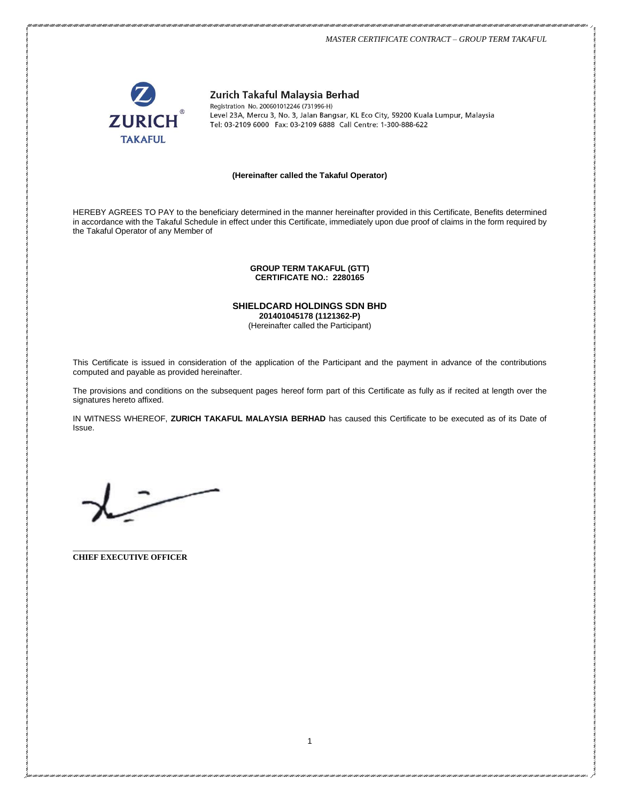#### *MASTER CERTIFICATE CONTRACT – GROUP TERM TAKAFUL*



Zurich Takaful Malaysia Berhad

Registration No. 200601012246 (731996-H) Level 23A, Mercu 3, No. 3, Jalan Bangsar, KL Eco City, 59200 Kuala Lumpur, Malaysia Tel: 03-2109 6000 Fax: 03-2109 6888 Call Centre: 1-300-888-622

#### **(Hereinafter called the Takaful Operator)**

HEREBY AGREES TO PAY to the beneficiary determined in the manner hereinafter provided in this Certificate, Benefits determined in accordance with the Takaful Schedule in effect under this Certificate, immediately upon due proof of claims in the form required by the Takaful Operator of any Member of

#### **GROUP TERM TAKAFUL (GTT) CERTIFICATE NO.: 2280165**

# **SHIELDCARD HOLDINGS SDN BHD**

**201401045178 (1121362-P)** (Hereinafter called the Participant)

This Certificate is issued in consideration of the application of the Participant and the payment in advance of the contributions computed and payable as provided hereinafter.

The provisions and conditions on the subsequent pages hereof form part of this Certificate as fully as if recited at length over the signatures hereto affixed.

IN WITNESS WHEREOF, **ZURICH TAKAFUL MALAYSIA BERHAD** has caused this Certificate to be executed as of its Date of Issue.

\_\_\_\_\_\_\_\_\_\_\_\_\_\_\_\_\_\_\_\_\_\_\_\_\_\_\_ **CHIEF EXECUTIVE OFFICER**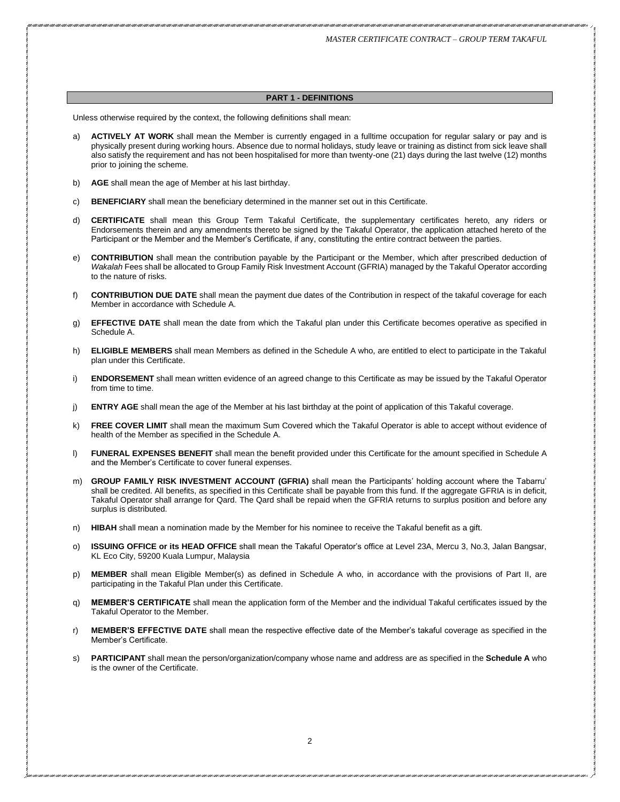#### **PART 1 - DEFINITIONS**

Unless otherwise required by the context, the following definitions shall mean:

- a) **ACTIVELY AT WORK** shall mean the Member is currently engaged in a fulltime occupation for regular salary or pay and is physically present during working hours. Absence due to normal holidays, study leave or training as distinct from sick leave shall also satisfy the requirement and has not been hospitalised for more than twenty-one (21) days during the last twelve (12) months prior to joining the scheme.
- b) **AGE** shall mean the age of Member at his last birthday.
- c) **BENEFICIARY** shall mean the beneficiary determined in the manner set out in this Certificate.
- d) **CERTIFICATE** shall mean this Group Term Takaful Certificate, the supplementary certificates hereto, any riders or Endorsements therein and any amendments thereto be signed by the Takaful Operator, the application attached hereto of the Participant or the Member and the Member's Certificate, if any, constituting the entire contract between the parties.
- e) **CONTRIBUTION** shall mean the contribution payable by the Participant or the Member, which after prescribed deduction of *Wakalah* Fees shall be allocated to Group Family Risk Investment Account (GFRIA) managed by the Takaful Operator according to the nature of risks.
- f) **CONTRIBUTION DUE DATE** shall mean the payment due dates of the Contribution in respect of the takaful coverage for each Member in accordance with Schedule A.
- g) **EFFECTIVE DATE** shall mean the date from which the Takaful plan under this Certificate becomes operative as specified in Schedule A.
- h) **ELIGIBLE MEMBERS** shall mean Members as defined in the Schedule A who, are entitled to elect to participate in the Takaful plan under this Certificate.
- i) **ENDORSEMENT** shall mean written evidence of an agreed change to this Certificate as may be issued by the Takaful Operator from time to time.
- j) **ENTRY AGE** shall mean the age of the Member at his last birthday at the point of application of this Takaful coverage.
- k) **FREE COVER LIMIT** shall mean the maximum Sum Covered which the Takaful Operator is able to accept without evidence of health of the Member as specified in the Schedule A.
- l) **FUNERAL EXPENSES BENEFIT** shall mean the benefit provided under this Certificate for the amount specified in Schedule A and the Member's Certificate to cover funeral expenses.
- m) **GROUP FAMILY RISK INVESTMENT ACCOUNT (GFRIA)** shall mean the Participants' holding account where the Tabarru' shall be credited. All benefits, as specified in this Certificate shall be payable from this fund. If the aggregate GFRIA is in deficit, Takaful Operator shall arrange for Qard. The Qard shall be repaid when the GFRIA returns to surplus position and before any surplus is distributed.
- n) **HIBAH** shall mean a nomination made by the Member for his nominee to receive the Takaful benefit as a gift.
- o) **ISSUING OFFICE or its HEAD OFFICE** shall mean the Takaful Operator's office at Level 23A, Mercu 3, No.3, Jalan Bangsar, KL Eco City, 59200 Kuala Lumpur, Malaysia
- p) **MEMBER** shall mean Eligible Member(s) as defined in Schedule A who, in accordance with the provisions of Part II, are participating in the Takaful Plan under this Certificate.
- q) **MEMBER'S CERTIFICATE** shall mean the application form of the Member and the individual Takaful certificates issued by the Takaful Operator to the Member.
- r) **MEMBER'S EFFECTIVE DATE** shall mean the respective effective date of the Member's takaful coverage as specified in the Member's Certificate.
- s) **PARTICIPANT** shall mean the person/organization/company whose name and address are as specified in the **Schedule A** who is the owner of the Certificate.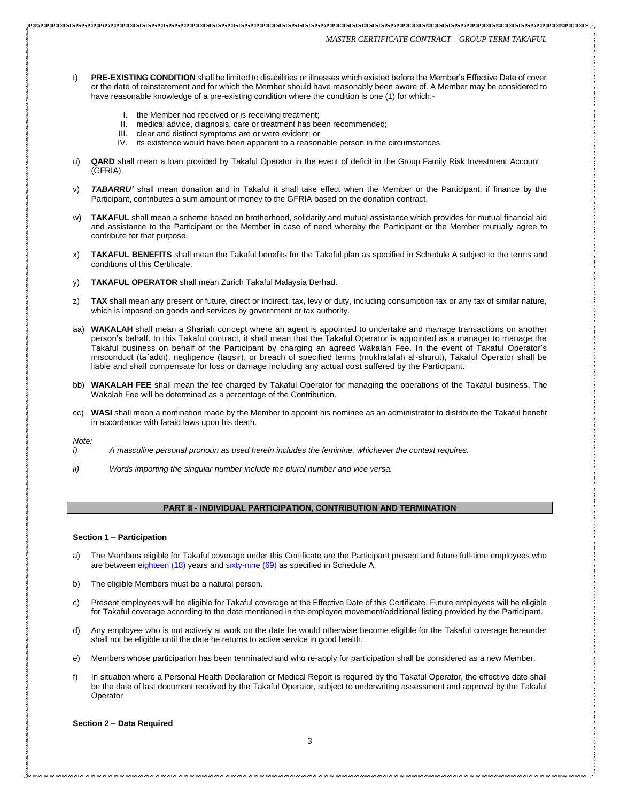- t) **PRE-EXISTING CONDITION** shall be limited to disabilities or illnesses which existed before the Member's Effective Date of cover or the date of reinstatement and for which the Member should have reasonably been aware of. A Member may be considered to have reasonable knowledge of a pre-existing condition where the condition is one (1) for which:-
	- I. the Member had received or is receiving treatment;
	- II. medical advice, diagnosis, care or treatment has been recommended;
	- III. clear and distinct symptoms are or were evident; or
	- IV. its existence would have been apparent to a reasonable person in the circumstances.
- u) **QARD** shall mean a loan provided by Takaful Operator in the event of deficit in the Group Family Risk Investment Account (GFRIA).
- TABARRU' shall mean donation and in Takaful it shall take effect when the Member or the Participant, if finance by the Participant, contributes a sum amount of money to the GFRIA based on the donation contract.
- w) **TAKAFUL** shall mean a scheme based on brotherhood, solidarity and mutual assistance which provides for mutual financial aid and assistance to the Participant or the Member in case of need whereby the Participant or the Member mutually agree to contribute for that purpose.
- x) **TAKAFUL BENEFITS** shall mean the Takaful benefits for the Takaful plan as specified in Schedule A subject to the terms and conditions of this Certificate.
- y) **TAKAFUL OPERATOR** shall mean Zurich Takaful Malaysia Berhad.
- z) **TAX** shall mean any present or future, direct or indirect, tax, levy or duty, including consumption tax or any tax of similar nature, which is imposed on goods and services by government or tax authority.
- aa) **WAKALAH** shall mean a Shariah concept where an agent is appointed to undertake and manage transactions on another person's behalf. In this Takaful contract, it shall mean that the Takaful Operator is appointed as a manager to manage the Takaful business on behalf of the Participant by charging an agreed Wakalah Fee. In the event of Takaful Operator's misconduct (ta`addi), negligence (taqsir), or breach of specified terms (mukhalafah al-shurut), Takaful Operator shall be liable and shall compensate for loss or damage including any actual cost suffered by the Participant.
- bb) **WAKALAH FEE** shall mean the fee charged by Takaful Operator for managing the operations of the Takaful business. The Wakalah Fee will be determined as a percentage of the Contribution.
- cc) **WASI** shall mean a nomination made by the Member to appoint his nominee as an administrator to distribute the Takaful benefit in accordance with faraid laws upon his death.

*Note:*

- *i) A masculine personal pronoun as used herein includes the feminine, whichever the context requires.*
- *ii) Words importing the singular number include the plural number and vice versa.*

# **PART II - INDIVIDUAL PARTICIPATION, CONTRIBUTION AND TERMINATION**

#### **Section 1 – Participation**

- a) The Members eligible for Takaful coverage under this Certificate are the Participant present and future full-time employees who are between eighteen (18) years and sixty-nine (69) as specified in Schedule A.
- b) The eligible Members must be a natural person.
- c) Present employees will be eligible for Takaful coverage at the Effective Date of this Certificate. Future employees will be eligible for Takaful coverage according to the date mentioned in the employee movement/additional listing provided by the Participant.
- d) Any employee who is not actively at work on the date he would otherwise become eligible for the Takaful coverage hereunder shall not be eligible until the date he returns to active service in good health.
- e) Members whose participation has been terminated and who re-apply for participation shall be considered as a new Member.
- f) In situation where a Personal Health Declaration or Medical Report is required by the Takaful Operator, the effective date shall be the date of last document received by the Takaful Operator, subject to underwriting assessment and approval by the Takaful **Operator**

**Section 2 – Data Required**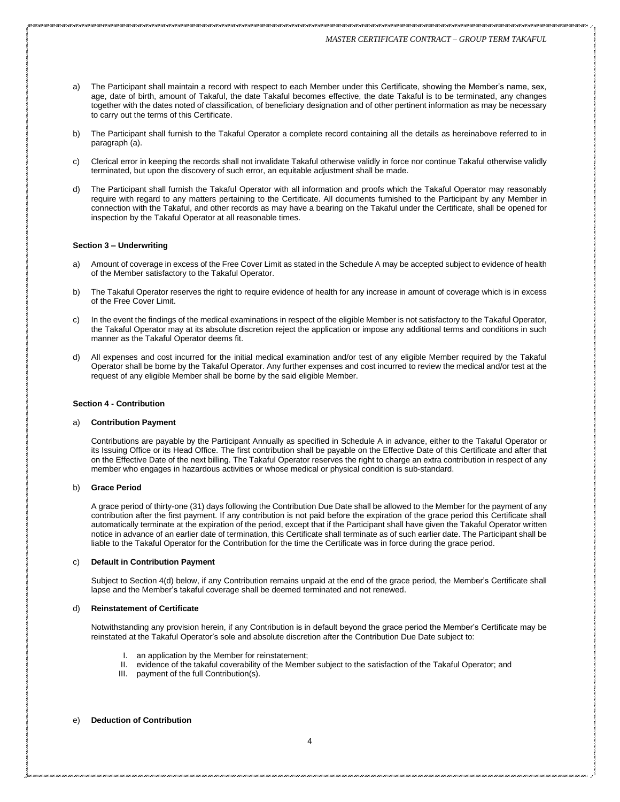- a) The Participant shall maintain a record with respect to each Member under this Certificate, showing the Member's name, sex, age, date of birth, amount of Takaful, the date Takaful becomes effective, the date Takaful is to be terminated, any changes together with the dates noted of classification, of beneficiary designation and of other pertinent information as may be necessary to carry out the terms of this Certificate.
- b) The Participant shall furnish to the Takaful Operator a complete record containing all the details as hereinabove referred to in paragraph (a).
- c) Clerical error in keeping the records shall not invalidate Takaful otherwise validly in force nor continue Takaful otherwise validly terminated, but upon the discovery of such error, an equitable adjustment shall be made.
- The Participant shall furnish the Takaful Operator with all information and proofs which the Takaful Operator may reasonably require with regard to any matters pertaining to the Certificate. All documents furnished to the Participant by any Member in connection with the Takaful, and other records as may have a bearing on the Takaful under the Certificate, shall be opened for inspection by the Takaful Operator at all reasonable times.

#### **Section 3 – Underwriting**

- a) Amount of coverage in excess of the Free Cover Limit as stated in the Schedule A may be accepted subject to evidence of health of the Member satisfactory to the Takaful Operator.
- b) The Takaful Operator reserves the right to require evidence of health for any increase in amount of coverage which is in excess of the Free Cover Limit.
- c) In the event the findings of the medical examinations in respect of the eligible Member is not satisfactory to the Takaful Operator, the Takaful Operator may at its absolute discretion reject the application or impose any additional terms and conditions in such manner as the Takaful Operator deems fit.
- d) All expenses and cost incurred for the initial medical examination and/or test of any eligible Member required by the Takaful Operator shall be borne by the Takaful Operator. Any further expenses and cost incurred to review the medical and/or test at the request of any eligible Member shall be borne by the said eligible Member.

#### **Section 4 - Contribution**

#### a) **Contribution Payment**

Contributions are payable by the Participant Annually as specified in Schedule A in advance, either to the Takaful Operator or its Issuing Office or its Head Office. The first contribution shall be payable on the Effective Date of this Certificate and after that on the Effective Date of the next billing. The Takaful Operator reserves the right to charge an extra contribution in respect of any member who engages in hazardous activities or whose medical or physical condition is sub-standard.

#### b) **Grace Period**

A grace period of thirty-one (31) days following the Contribution Due Date shall be allowed to the Member for the payment of any contribution after the first payment. If any contribution is not paid before the expiration of the grace period this Certificate shall automatically terminate at the expiration of the period, except that if the Participant shall have given the Takaful Operator written notice in advance of an earlier date of termination, this Certificate shall terminate as of such earlier date. The Participant shall be liable to the Takaful Operator for the Contribution for the time the Certificate was in force during the grace period.

#### c) **Default in Contribution Payment**

Subject to Section 4(d) below, if any Contribution remains unpaid at the end of the grace period, the Member's Certificate shall lapse and the Member's takaful coverage shall be deemed terminated and not renewed.

#### d) **Reinstatement of Certificate**

Notwithstanding any provision herein, if any Contribution is in default beyond the grace period the Member's Certificate may be reinstated at the Takaful Operator's sole and absolute discretion after the Contribution Due Date subject to:

- I. an application by the Member for reinstatement;
- II. evidence of the takaful coverability of the Member subject to the satisfaction of the Takaful Operator; and
- III. payment of the full Contribution(s).

#### e) **Deduction of Contribution**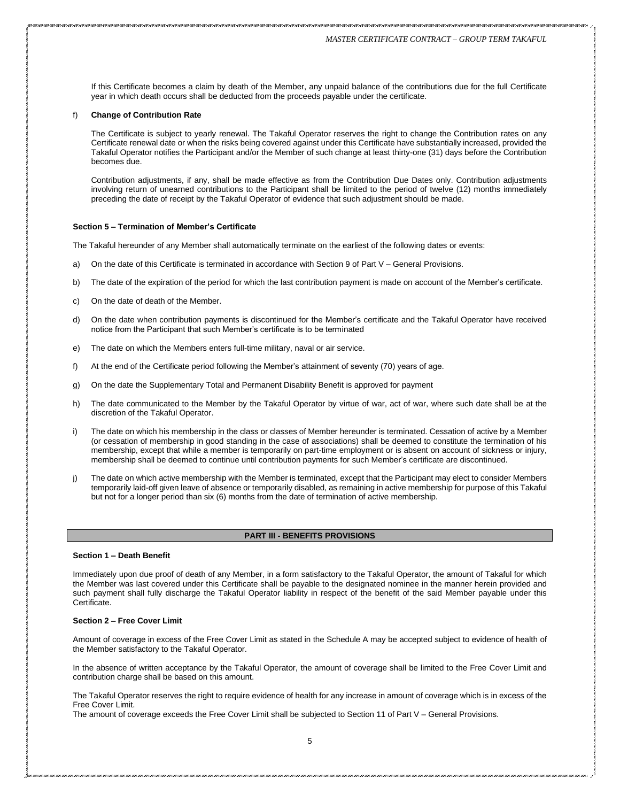If this Certificate becomes a claim by death of the Member, any unpaid balance of the contributions due for the full Certificate year in which death occurs shall be deducted from the proceeds payable under the certificate.

#### f) **Change of Contribution Rate**

The Certificate is subject to yearly renewal. The Takaful Operator reserves the right to change the Contribution rates on any Certificate renewal date or when the risks being covered against under this Certificate have substantially increased, provided the Takaful Operator notifies the Participant and/or the Member of such change at least thirty-one (31) days before the Contribution becomes due.

Contribution adjustments, if any, shall be made effective as from the Contribution Due Dates only. Contribution adjustments involving return of unearned contributions to the Participant shall be limited to the period of twelve (12) months immediately preceding the date of receipt by the Takaful Operator of evidence that such adjustment should be made.

#### **Section 5 – Termination of Member's Certificate**

The Takaful hereunder of any Member shall automatically terminate on the earliest of the following dates or events:

- a) On the date of this Certificate is terminated in accordance with Section 9 of Part V General Provisions.
- b) The date of the expiration of the period for which the last contribution payment is made on account of the Member's certificate.
- c) On the date of death of the Member.
- d) On the date when contribution payments is discontinued for the Member's certificate and the Takaful Operator have received notice from the Participant that such Member's certificate is to be terminated
- e) The date on which the Members enters full-time military, naval or air service.
- f) At the end of the Certificate period following the Member's attainment of seventy (70) years of age.
- g) On the date the Supplementary Total and Permanent Disability Benefit is approved for payment
- h) The date communicated to the Member by the Takaful Operator by virtue of war, act of war, where such date shall be at the discretion of the Takaful Operator.
- i) The date on which his membership in the class or classes of Member hereunder is terminated. Cessation of active by a Member (or cessation of membership in good standing in the case of associations) shall be deemed to constitute the termination of his membership, except that while a member is temporarily on part-time employment or is absent on account of sickness or injury, membership shall be deemed to continue until contribution payments for such Member's certificate are discontinued.
- The date on which active membership with the Member is terminated, except that the Participant may elect to consider Members temporarily laid-off given leave of absence or temporarily disabled, as remaining in active membership for purpose of this Takaful but not for a longer period than six (6) months from the date of termination of active membership.

## **PART III - BENEFITS PROVISIONS**

#### **Section 1 – Death Benefit**

Immediately upon due proof of death of any Member, in a form satisfactory to the Takaful Operator, the amount of Takaful for which the Member was last covered under this Certificate shall be payable to the designated nominee in the manner herein provided and such payment shall fully discharge the Takaful Operator liability in respect of the benefit of the said Member payable under this Certificate.

#### **Section 2 – Free Cover Limit**

Amount of coverage in excess of the Free Cover Limit as stated in the Schedule A may be accepted subject to evidence of health of the Member satisfactory to the Takaful Operator.

In the absence of written acceptance by the Takaful Operator, the amount of coverage shall be limited to the Free Cover Limit and contribution charge shall be based on this amount.

The Takaful Operator reserves the right to require evidence of health for any increase in amount of coverage which is in excess of the Free Cover Limit.

The amount of coverage exceeds the Free Cover Limit shall be subjected to Section 11 of Part V – General Provisions.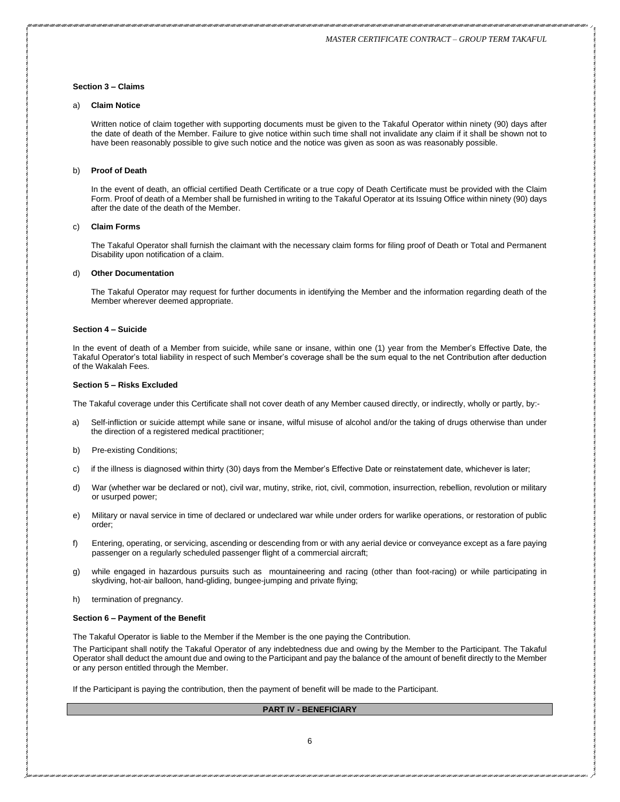#### **Section 3 – Claims**

#### a) **Claim Notice**

Written notice of claim together with supporting documents must be given to the Takaful Operator within ninety (90) days after the date of death of the Member. Failure to give notice within such time shall not invalidate any claim if it shall be shown not to have been reasonably possible to give such notice and the notice was given as soon as was reasonably possible.

#### b) **Proof of Death**

In the event of death, an official certified Death Certificate or a true copy of Death Certificate must be provided with the Claim Form. Proof of death of a Member shall be furnished in writing to the Takaful Operator at its Issuing Office within ninety (90) days after the date of the death of the Member.

#### c) **Claim Forms**

The Takaful Operator shall furnish the claimant with the necessary claim forms for filing proof of Death or Total and Permanent Disability upon notification of a claim.

#### d) **Other Documentation**

The Takaful Operator may request for further documents in identifying the Member and the information regarding death of the Member wherever deemed appropriate.

#### **Section 4 – Suicide**

In the event of death of a Member from suicide, while sane or insane, within one (1) year from the Member's Effective Date, the Takaful Operator's total liability in respect of such Member's coverage shall be the sum equal to the net Contribution after deduction of the Wakalah Fees.

#### **Section 5 – Risks Excluded**

The Takaful coverage under this Certificate shall not cover death of any Member caused directly, or indirectly, wholly or partly, by:-

- a) Self-infliction or suicide attempt while sane or insane, wilful misuse of alcohol and/or the taking of drugs otherwise than under the direction of a registered medical practitioner;
- b) Pre-existing Conditions;
- c) if the illness is diagnosed within thirty (30) days from the Member's Effective Date or reinstatement date, whichever is later;
- d) War (whether war be declared or not), civil war, mutiny, strike, riot, civil, commotion, insurrection, rebellion, revolution or military or usurped power;
- e) Military or naval service in time of declared or undeclared war while under orders for warlike operations, or restoration of public order;
- f) Entering, operating, or servicing, ascending or descending from or with any aerial device or conveyance except as a fare paying passenger on a regularly scheduled passenger flight of a commercial aircraft;
- g) while engaged in hazardous pursuits such as mountaineering and racing (other than foot-racing) or while participating in skydiving, hot-air balloon, hand-gliding, bungee-jumping and private flying;
- h) termination of pregnancy.

#### **Section 6 – Payment of the Benefit**

The Takaful Operator is liable to the Member if the Member is the one paying the Contribution.

The Participant shall notify the Takaful Operator of any indebtedness due and owing by the Member to the Participant. The Takaful Operator shall deduct the amount due and owing to the Participant and pay the balance of the amount of benefit directly to the Member or any person entitled through the Member.

If the Participant is paying the contribution, then the payment of benefit will be made to the Participant.

# **PART IV - BENEFICIARY**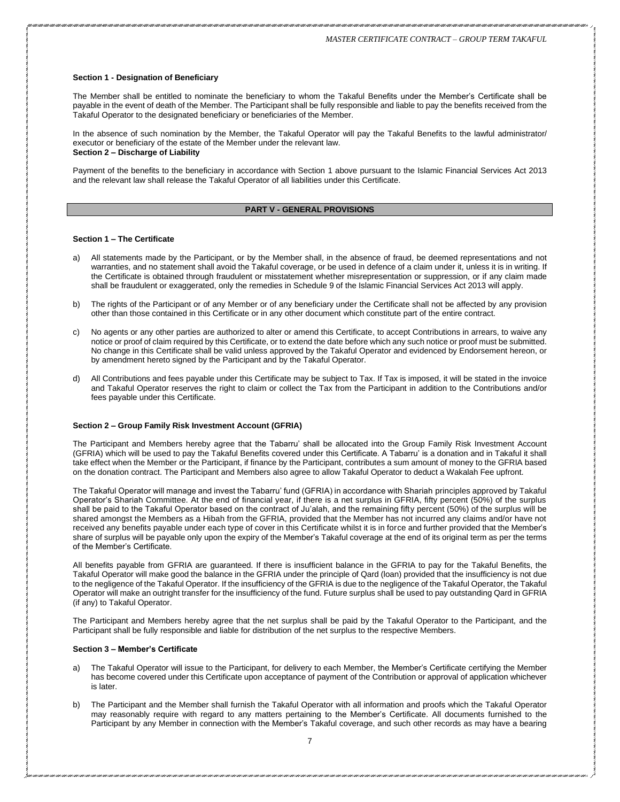#### **Section 1 - Designation of Beneficiary**

The Member shall be entitled to nominate the beneficiary to whom the Takaful Benefits under the Member's Certificate shall be payable in the event of death of the Member. The Participant shall be fully responsible and liable to pay the benefits received from the Takaful Operator to the designated beneficiary or beneficiaries of the Member.

In the absence of such nomination by the Member, the Takaful Operator will pay the Takaful Benefits to the lawful administrator/ executor or beneficiary of the estate of the Member under the relevant law. **Section 2 – Discharge of Liability**

Payment of the benefits to the beneficiary in accordance with Section 1 above pursuant to the Islamic Financial Services Act 2013 and the relevant law shall release the Takaful Operator of all liabilities under this Certificate.

#### **PART V - GENERAL PROVISIONS**

#### **Section 1 – The Certificate**

- a) All statements made by the Participant, or by the Member shall, in the absence of fraud, be deemed representations and not warranties, and no statement shall avoid the Takaful coverage, or be used in defence of a claim under it, unless it is in writing. If the Certificate is obtained through fraudulent or misstatement whether misrepresentation or suppression, or if any claim made shall be fraudulent or exaggerated, only the remedies in Schedule 9 of the Islamic Financial Services Act 2013 will apply.
- b) The rights of the Participant or of any Member or of any beneficiary under the Certificate shall not be affected by any provision other than those contained in this Certificate or in any other document which constitute part of the entire contract.
- c) No agents or any other parties are authorized to alter or amend this Certificate, to accept Contributions in arrears, to waive any notice or proof of claim required by this Certificate, or to extend the date before which any such notice or proof must be submitted. No change in this Certificate shall be valid unless approved by the Takaful Operator and evidenced by Endorsement hereon, or by amendment hereto signed by the Participant and by the Takaful Operator.
- d) All Contributions and fees payable under this Certificate may be subject to Tax. If Tax is imposed, it will be stated in the invoice and Takaful Operator reserves the right to claim or collect the Tax from the Participant in addition to the Contributions and/or fees payable under this Certificate.

#### **Section 2 – Group Family Risk Investment Account (GFRIA)**

The Participant and Members hereby agree that the Tabarru' shall be allocated into the Group Family Risk Investment Account (GFRIA) which will be used to pay the Takaful Benefits covered under this Certificate. A Tabarru' is a donation and in Takaful it shall take effect when the Member or the Participant, if finance by the Participant, contributes a sum amount of money to the GFRIA based on the donation contract. The Participant and Members also agree to allow Takaful Operator to deduct a Wakalah Fee upfront.

The Takaful Operator will manage and invest the Tabarru' fund (GFRIA) in accordance with Shariah principles approved by Takaful Operator's Shariah Committee. At the end of financial year, if there is a net surplus in GFRIA, fifty percent (50%) of the surplus shall be paid to the Takaful Operator based on the contract of Ju'alah, and the remaining fifty percent (50%) of the surplus will be shared amongst the Members as a Hibah from the GFRIA, provided that the Member has not incurred any claims and/or have not received any benefits payable under each type of cover in this Certificate whilst it is in force and further provided that the Member's share of surplus will be payable only upon the expiry of the Member's Takaful coverage at the end of its original term as per the terms of the Member's Certificate.

All benefits payable from GFRIA are guaranteed. If there is insufficient balance in the GFRIA to pay for the Takaful Benefits, the Takaful Operator will make good the balance in the GFRIA under the principle of Qard (loan) provided that the insufficiency is not due to the negligence of the Takaful Operator. If the insufficiency of the GFRIA is due to the negligence of the Takaful Operator, the Takaful Operator will make an outright transfer for the insufficiency of the fund. Future surplus shall be used to pay outstanding Qard in GFRIA (if any) to Takaful Operator.

The Participant and Members hereby agree that the net surplus shall be paid by the Takaful Operator to the Participant, and the Participant shall be fully responsible and liable for distribution of the net surplus to the respective Members.

#### **Section 3 – Member's Certificate**

- The Takaful Operator will issue to the Participant, for delivery to each Member, the Member's Certificate certifying the Member has become covered under this Certificate upon acceptance of payment of the Contribution or approval of application whichever is later.
- b) The Participant and the Member shall furnish the Takaful Operator with all information and proofs which the Takaful Operator may reasonably require with regard to any matters pertaining to the Member's Certificate. All documents furnished to the Participant by any Member in connection with the Member's Takaful coverage, and such other records as may have a bearing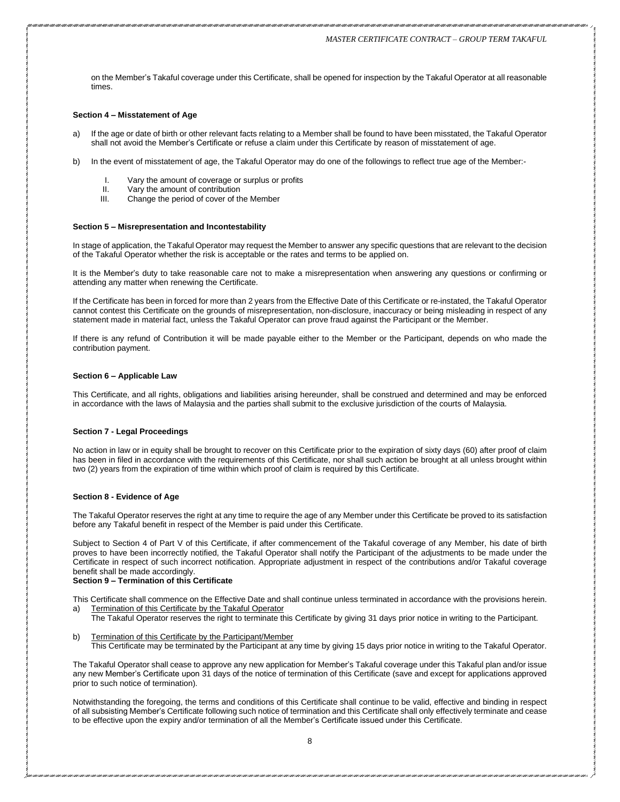on the Member's Takaful coverage under this Certificate, shall be opened for inspection by the Takaful Operator at all reasonable times.

#### **Section 4 – Misstatement of Age**

- a) If the age or date of birth or other relevant facts relating to a Member shall be found to have been misstated, the Takaful Operator shall not avoid the Member's Certificate or refuse a claim under this Certificate by reason of misstatement of age.
- b) In the event of misstatement of age, the Takaful Operator may do one of the followings to reflect true age of the Member:-
	- I. Vary the amount of coverage or surplus or profits<br>II. Vary the amount of contribution
	- II. Vary the amount of contribution<br>III. Change the period of cover of the
	- Change the period of cover of the Member

#### **Section 5 – Misrepresentation and Incontestability**

In stage of application, the Takaful Operator may request the Member to answer any specific questions that are relevant to the decision of the Takaful Operator whether the risk is acceptable or the rates and terms to be applied on.

It is the Member's duty to take reasonable care not to make a misrepresentation when answering any questions or confirming or attending any matter when renewing the Certificate.

If the Certificate has been in forced for more than 2 years from the Effective Date of this Certificate or re-instated, the Takaful Operator cannot contest this Certificate on the grounds of misrepresentation, non-disclosure, inaccuracy or being misleading in respect of any statement made in material fact, unless the Takaful Operator can prove fraud against the Participant or the Member.

If there is any refund of Contribution it will be made payable either to the Member or the Participant, depends on who made the contribution payment.

#### **Section 6 – Applicable Law**

This Certificate, and all rights, obligations and liabilities arising hereunder, shall be construed and determined and may be enforced in accordance with the laws of Malaysia and the parties shall submit to the exclusive jurisdiction of the courts of Malaysia.

#### **Section 7 - Legal Proceedings**

No action in law or in equity shall be brought to recover on this Certificate prior to the expiration of sixty days (60) after proof of claim has been in filed in accordance with the requirements of this Certificate, nor shall such action be brought at all unless brought within two (2) years from the expiration of time within which proof of claim is required by this Certificate.

#### **Section 8 - Evidence of Age**

The Takaful Operator reserves the right at any time to require the age of any Member under this Certificate be proved to its satisfaction before any Takaful benefit in respect of the Member is paid under this Certificate.

Subject to Section 4 of Part V of this Certificate, if after commencement of the Takaful coverage of any Member, his date of birth proves to have been incorrectly notified, the Takaful Operator shall notify the Participant of the adjustments to be made under the Certificate in respect of such incorrect notification. Appropriate adjustment in respect of the contributions and/or Takaful coverage benefit shall be made accordingly.

# **Section 9 – Termination of this Certificate**

This Certificate shall commence on the Effective Date and shall continue unless terminated in accordance with the provisions herein. a) Termination of this Certificate by the Takaful Operator

- The Takaful Operator reserves the right to terminate this Certificate by giving 31 days prior notice in writing to the Participant.
- b) Termination of this Certificate by the Participant/Member This Certificate may be terminated by the Participant at any time by giving 15 days prior notice in writing to the Takaful Operator.

The Takaful Operator shall cease to approve any new application for Member's Takaful coverage under this Takaful plan and/or issue any new Member's Certificate upon 31 days of the notice of termination of this Certificate (save and except for applications approved prior to such notice of termination).

Notwithstanding the foregoing, the terms and conditions of this Certificate shall continue to be valid, effective and binding in respect of all subsisting Member's Certificate following such notice of termination and this Certificate shall only effectively terminate and cease to be effective upon the expiry and/or termination of all the Member's Certificate issued under this Certificate.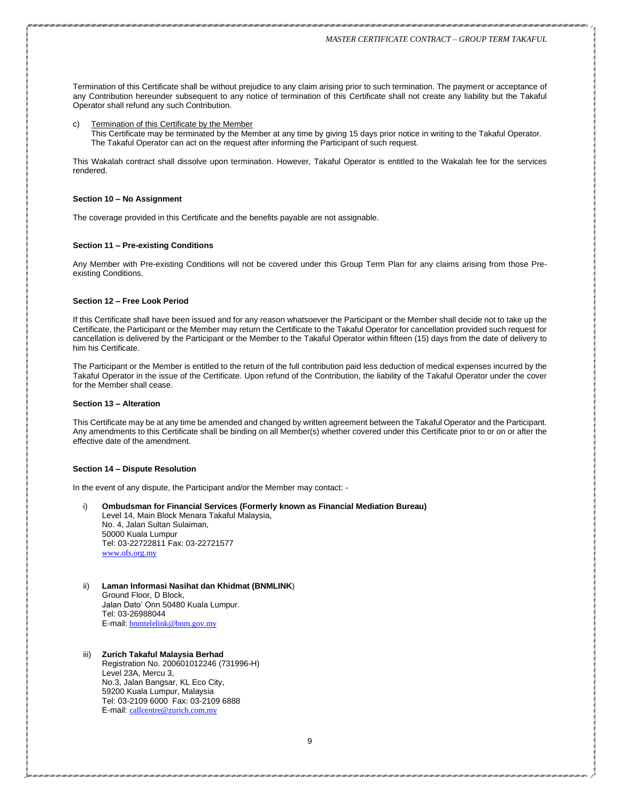Termination of this Certificate shall be without prejudice to any claim arising prior to such termination. The payment or acceptance of any Contribution hereunder subsequent to any notice of termination of this Certificate shall not create any liability but the Takaful Operator shall refund any such Contribution.

c) Termination of this Certificate by the Member This Certificate may be terminated by the Member at any time by giving 15 days prior notice in writing to the Takaful Operator. The Takaful Operator can act on the request after informing the Participant of such request.

This Wakalah contract shall dissolve upon termination. However, Takaful Operator is entitled to the Wakalah fee for the services rendered.

#### **Section 10 – No Assignment**

The coverage provided in this Certificate and the benefits payable are not assignable.

#### **Section 11 – Pre-existing Conditions**

Any Member with Pre-existing Conditions will not be covered under this Group Term Plan for any claims arising from those Preexisting Conditions.

#### **Section 12 – Free Look Period**

If this Certificate shall have been issued and for any reason whatsoever the Participant or the Member shall decide not to take up the Certificate, the Participant or the Member may return the Certificate to the Takaful Operator for cancellation provided such request for cancellation is delivered by the Participant or the Member to the Takaful Operator within fifteen (15) days from the date of delivery to him his Certificate.

The Participant or the Member is entitled to the return of the full contribution paid less deduction of medical expenses incurred by the Takaful Operator in the issue of the Certificate. Upon refund of the Contribution, the liability of the Takaful Operator under the cover for the Member shall cease.

#### **Section 13 – Alteration**

This Certificate may be at any time be amended and changed by written agreement between the Takaful Operator and the Participant. Any amendments to this Certificate shall be binding on all Member(s) whether covered under this Certificate prior to or on or after the effective date of the amendment.

#### **Section 14 – Dispute Resolution**

In the event of any dispute, the Participant and/or the Member may contact: -

- i) **Ombudsman for Financial Services (Formerly known as Financial Mediation Bureau)** Level 14, Main Block Menara Takaful Malaysia, No. 4, Jalan Sultan Sulaiman, 50000 Kuala Lumpur Tel: 03-22722811 Fax: 03-22721577 [www.ofs.org.my](http://www.ofs.org.my/)
- ii) **Laman Informasi Nasihat dan Khidmat (BNMLINK**) Ground Floor, D Block, Jalan Dato' Onn 50480 Kuala Lumpur. Tel: 03-26988044 E-mail: [bnmtelelink@bnm.gov.my](mailto:bnmtelelink@bnm.gov.my)
- iii) **Zurich Takaful Malaysia Berhad**  Registration No. 200601012246 (731996-H) Level 23A, Mercu 3, No.3, Jalan Bangsar, KL Eco City, 59200 Kuala Lumpur, Malaysia Tel: 03-2109 6000 Fax: 03-2109 6888 E-mail: [callcentre@zurich.com.my](mailto:callcentre@zurich.com.my)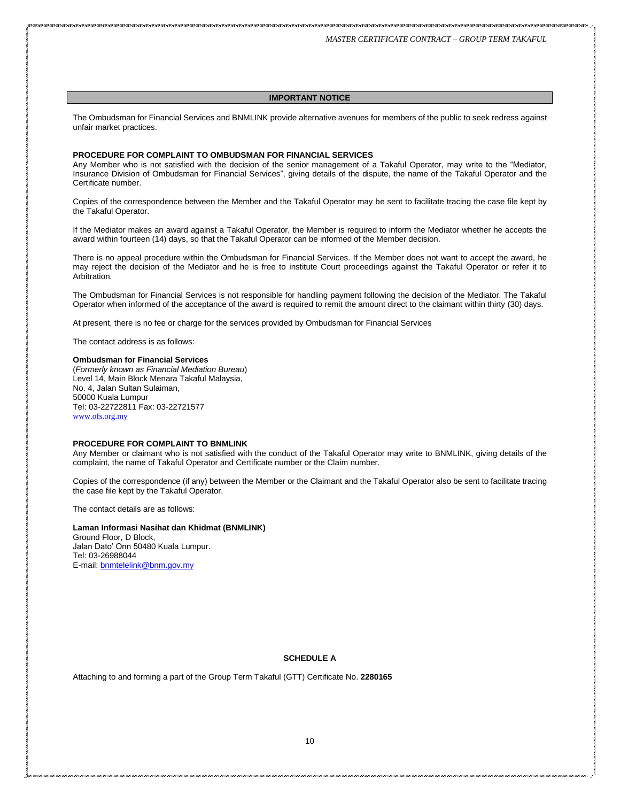#### **IMPORTANT NOTICE**

The Ombudsman for Financial Services and BNMLINK provide alternative avenues for members of the public to seek redress against unfair market practices.

#### **PROCEDURE FOR COMPLAINT TO OMBUDSMAN FOR FINANCIAL SERVICES**

Any Member who is not satisfied with the decision of the senior management of a Takaful Operator, may write to the "Mediator, Insurance Division of Ombudsman for Financial Services", giving details of the dispute, the name of the Takaful Operator and the Certificate number.

Copies of the correspondence between the Member and the Takaful Operator may be sent to facilitate tracing the case file kept by the Takaful Operator.

If the Mediator makes an award against a Takaful Operator, the Member is required to inform the Mediator whether he accepts the award within fourteen (14) days, so that the Takaful Operator can be informed of the Member decision.

There is no appeal procedure within the Ombudsman for Financial Services. If the Member does not want to accept the award, he may reject the decision of the Mediator and he is free to institute Court proceedings against the Takaful Operator or refer it to Arbitration.

The Ombudsman for Financial Services is not responsible for handling payment following the decision of the Mediator. The Takaful Operator when informed of the acceptance of the award is required to remit the amount direct to the claimant within thirty (30) days.

At present, there is no fee or charge for the services provided by Ombudsman for Financial Services

The contact address is as follows:

#### **Ombudsman for Financial Services**

(*Formerly known as Financial Mediation Bureau*) Level 14, Main Block Menara Takaful Malaysia, No. 4, Jalan Sultan Sulaiman, 50000 Kuala Lumpur Tel: 03-22722811 Fax: 03-22721577 [www.ofs.org.my](http://www.ofs.org.my/)

#### **PROCEDURE FOR COMPLAINT TO BNMLINK**

Any Member or claimant who is not satisfied with the conduct of the Takaful Operator may write to BNMLINK, giving details of the complaint, the name of Takaful Operator and Certificate number or the Claim number.

Copies of the correspondence (if any) between the Member or the Claimant and the Takaful Operator also be sent to facilitate tracing the case file kept by the Takaful Operator.

The contact details are as follows:

#### **Laman Informasi Nasihat dan Khidmat (BNMLINK)** Ground Floor, D Block, Jalan Dato' Onn 50480 Kuala Lumpur. Tel: 03-26988044

E-mail: [bnmtelelink@bnm.gov.my](mailto:bnmtelelink@bnm.gov.my)

# **SCHEDULE A**

Attaching to and forming a part of the Group Term Takaful (GTT) Certificate No. **2280165**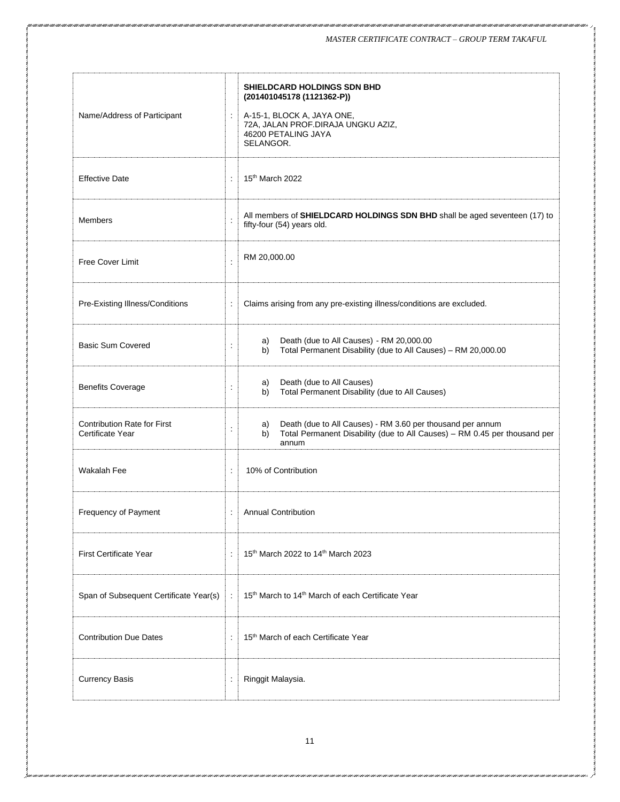| Name/Address of Participant                            | t                        | <b>SHIELDCARD HOLDINGS SDN BHD</b><br>(201401045178 (1121362-P))<br>A-15-1, BLOCK A, JAYA ONE,<br>72A, JALAN PROF.DIRAJA UNGKU AZIZ,<br>46200 PETALING JAYA<br>SELANGOR. |  |
|--------------------------------------------------------|--------------------------|--------------------------------------------------------------------------------------------------------------------------------------------------------------------------|--|
| <b>Effective Date</b>                                  | $\ddot{\phantom{a}}$     | 15th March 2022                                                                                                                                                          |  |
| <b>Members</b>                                         | $\ddot{\cdot}$           | All members of SHIELDCARD HOLDINGS SDN BHD shall be aged seventeen (17) to<br>fifty-four (54) years old.                                                                 |  |
| <b>Free Cover Limit</b>                                | $\ddot{\cdot}$           | RM 20,000.00                                                                                                                                                             |  |
| Pre-Existing Illness/Conditions                        | $\ddot{\phantom{a}}$     | Claims arising from any pre-existing illness/conditions are excluded.                                                                                                    |  |
| <b>Basic Sum Covered</b>                               |                          | Death (due to All Causes) - RM 20,000.00<br>a)<br>Total Permanent Disability (due to All Causes) - RM 20,000.00<br>b)                                                    |  |
| <b>Benefits Coverage</b>                               |                          | Death (due to All Causes)<br>a)<br>Total Permanent Disability (due to All Causes)<br>b)                                                                                  |  |
| <b>Contribution Rate for First</b><br>Certificate Year |                          | Death (due to All Causes) - RM 3.60 per thousand per annum<br>a)<br>Total Permanent Disability (due to All Causes) - RM 0.45 per thousand per<br>b)<br>annum             |  |
| <b>Wakalah Fee</b>                                     | $\ddot{\cdot}$           | 10% of Contribution                                                                                                                                                      |  |
| Frequency of Payment                                   | $\overline{\phantom{a}}$ | <b>Annual Contribution</b>                                                                                                                                               |  |
| First Certificate Year                                 | $\ddot{\phantom{a}}$     | 15th March 2022 to 14th March 2023                                                                                                                                       |  |
| Span of Subsequent Certificate Year(s)                 |                          | 15 <sup>th</sup> March to 14 <sup>th</sup> March of each Certificate Year                                                                                                |  |
| <b>Contribution Due Dates</b>                          | $\ddot{\cdot}$           | 15 <sup>th</sup> March of each Certificate Year                                                                                                                          |  |
| <b>Currency Basis</b>                                  | $\ddot{\phantom{a}}$     | Ringgit Malaysia.                                                                                                                                                        |  |

i over i over i over i over i over i over i over i over i over i over i over i over i over i over i over i over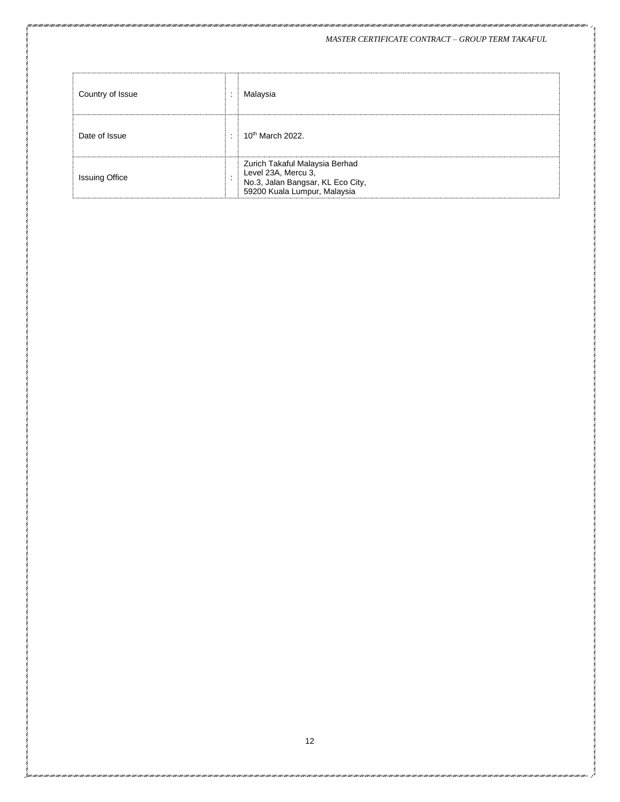# *MASTER CERTIFICATE CONTRACT – GROUP TERM TAKAFUL*

| Country of Issue      |         | Malaysia                                                                                                                   |
|-----------------------|---------|----------------------------------------------------------------------------------------------------------------------------|
| Date of Issue         | $\cdot$ | $10th$ March 2022.                                                                                                         |
| <b>Issuing Office</b> |         | Zurich Takaful Malaysia Berhad<br>Level 23A, Mercu 3,<br>No.3, Jalan Bangsar, KL Eco City,<br>59200 Kuala Lumpur, Malaysia |

i ani i ani i amezani i ani i amezani i ani i amezani i amezani i ameza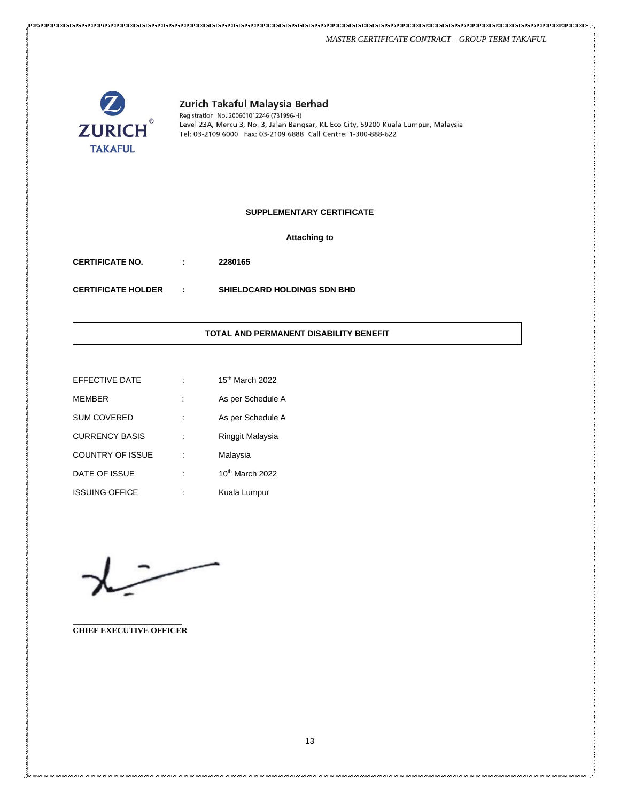#### *MASTER CERTIFICATE CONTRACT – GROUP TERM TAKAFUL*



# Zurich Takaful Malaysia Berhad

Registration No. 200601012246 (731996-H)<br>Level 23A, Mercu 3, No. 3, Jalan Bangsar, KL Eco City, 59200 Kuala Lumpur, Malaysia Tel: 03-2109 6000 Fax: 03-2109 6888 Call Centre: 1-300-888-622

# **SUPPLEMENTARY CERTIFICATE**

**Attaching to**

**CERTIFICATE NO. : 2280165**

**CERTIFICATE HOLDER : SHIELDCARD HOLDINGS SDN BHD**

# **TOTAL AND PERMANENT DISABILITY BENEFIT**

| EFFECTIVE DATE          |    | 15th March 2022   |
|-------------------------|----|-------------------|
| <b>MEMBER</b>           |    | As per Schedule A |
| <b>SUM COVERED</b>      |    | As per Schedule A |
| <b>CURRENCY BASIS</b>   |    | Ringgit Malaysia  |
| <b>COUNTRY OF ISSUE</b> | İ. | Malaysia          |
| DATE OF ISSUE           |    | 10th March 2022   |
| <b>ISSUING OFFICE</b>   |    | Kuala Lumpur      |

\_\_\_\_\_\_\_\_\_\_\_\_\_\_\_\_\_\_\_\_\_\_\_\_\_\_\_ **CHIEF EXECUTIVE OFFICER**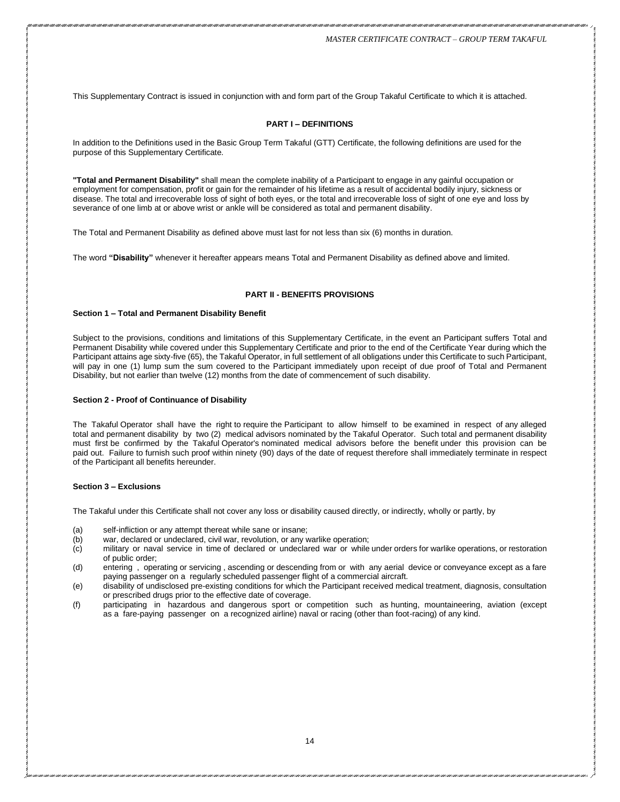This Supplementary Contract is issued in conjunction with and form part of the Group Takaful Certificate to which it is attached.

## **PART I – DEFINITIONS**

In addition to the Definitions used in the Basic Group Term Takaful (GTT) Certificate, the following definitions are used for the purpose of this Supplementary Certificate.

**"Total and Permanent Disability"** shall mean the complete inability of a Participant to engage in any gainful occupation or employment for compensation, profit or gain for the remainder of his lifetime as a result of accidental bodily injury, sickness or disease. The total and irrecoverable loss of sight of both eyes, or the total and irrecoverable loss of sight of one eye and loss by severance of one limb at or above wrist or ankle will be considered as total and permanent disability.

The Total and Permanent Disability as defined above must last for not less than six (6) months in duration.

The word **"Disability"** whenever it hereafter appears means Total and Permanent Disability as defined above and limited.

#### **PART II - BENEFITS PROVISIONS**

#### **Section 1 – Total and Permanent Disability Benefit**

Subject to the provisions, conditions and limitations of this Supplementary Certificate, in the event an Participant suffers Total and Permanent Disability while covered under this Supplementary Certificate and prior to the end of the Certificate Year during which the Participant attains age sixty-five (65), the Takaful Operator, in full settlement of all obligations under this Certificate to such Participant, will pay in one (1) lump sum the sum covered to the Participant immediately upon receipt of due proof of Total and Permanent Disability, but not earlier than twelve (12) months from the date of commencement of such disability.

#### **Section 2 - Proof of Continuance of Disability**

The Takaful Operator shall have the right to require the Participant to allow himself to be examined in respect of any alleged total and permanent disability by two (2) medical advisors nominated by the Takaful Operator. Such total and permanent disability must first be confirmed by the Takaful Operator's nominated medical advisors before the benefit under this provision can be paid out. Failure to furnish such proof within ninety (90) days of the date of request therefore shall immediately terminate in respect of the Participant all benefits hereunder.

#### **Section 3 – Exclusions**

The Takaful under this Certificate shall not cover any loss or disability caused directly, or indirectly, wholly or partly, by

- (a) self-infliction or any attempt thereat while sane or insane;
- (b) war, declared or undeclared, civil war, revolution, or any warlike operation;<br>(c) military or naval service in time of declared or undeclared war or while
- military or naval service in time of declared or undeclared war or while under orders for warlike operations, or restoration of public order;
- (d) entering , operating or servicing , ascending or descending from or with any aerial device or conveyance except as a fare paying passenger on a regularly scheduled passenger flight of a commercial aircraft.
- (e) disability of undisclosed pre-existing conditions for which the Participant received medical treatment, diagnosis, consultation or prescribed drugs prior to the effective date of coverage.
- (f) participating in hazardous and dangerous sport or competition such as hunting, mountaineering, aviation (except as a fare-paying passenger on a recognized airline) naval or racing (other than foot-racing) of any kind.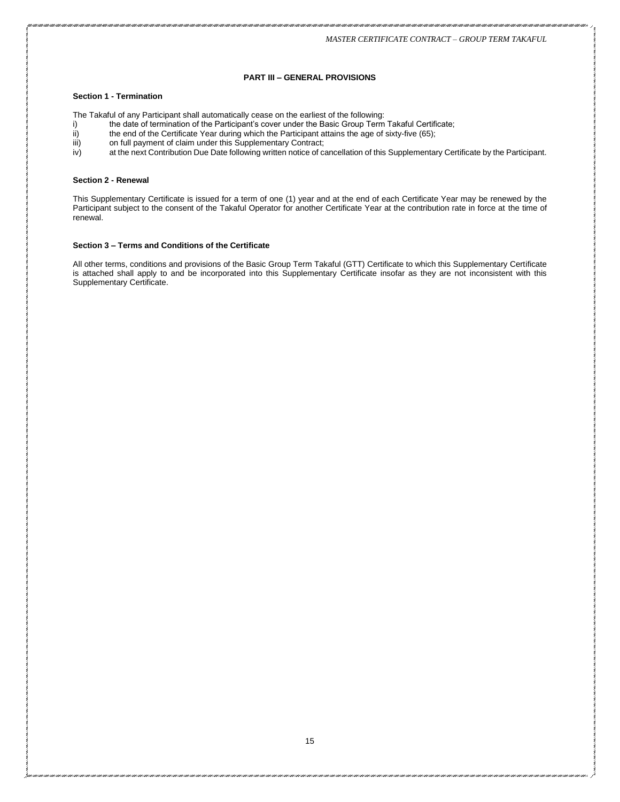# **PART III – GENERAL PROVISIONS**

## **Section 1 - Termination**

The Takaful of any Participant shall automatically cease on the earliest of the following:

- i) the date of termination of the Participant's cover under the Basic Group Term Takaful Certificate;<br>ii) the end of the Certificate Year during which the Participant attains the age of sixty-five (65);
- the end of the Certificate Year during which the Participant attains the age of sixty-five (65);
- iii) on full payment of claim under this Supplementary Contract;
- iv) at the next Contribution Due Date following written notice of cancellation of this Supplementary Certificate by the Participant.

#### **Section 2 - Renewal**

This Supplementary Certificate is issued for a term of one (1) year and at the end of each Certificate Year may be renewed by the Participant subject to the consent of the Takaful Operator for another Certificate Year at the contribution rate in force at the time of renewal.

# **Section 3 – Terms and Conditions of the Certificate**

All other terms, conditions and provisions of the Basic Group Term Takaful (GTT) Certificate to which this Supplementary Certificate is attached shall apply to and be incorporated into this Supplementary Certificate insofar as they are not inconsistent with this Supplementary Certificate.